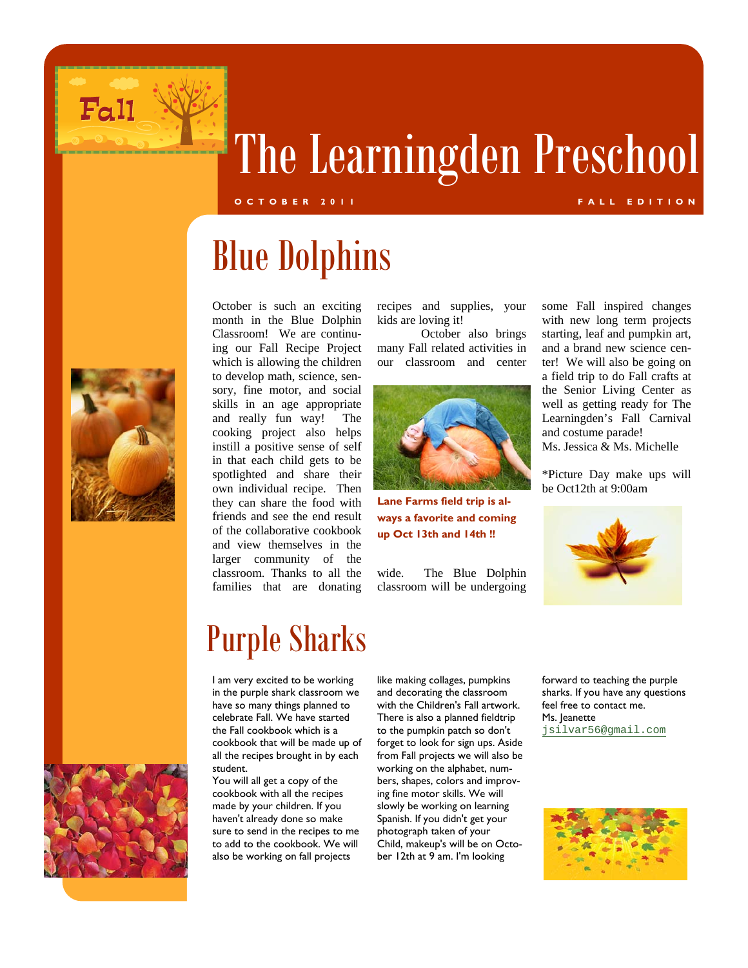

# The Learningden Preschool

### **OCTOBER 2011 FALL EDITION**

Blue Dolphins



October is such an exciting month in the Blue Dolphin Classroom! We are continuing our Fall Recipe Project which is allowing the children to develop math, science, sensory, fine motor, and social skills in an age appropriate and really fun way! The cooking project also helps instill a positive sense of self in that each child gets to be spotlighted and share their own individual recipe. Then they can share the food with friends and see the end result of the collaborative cookbook and view themselves in the larger community of the classroom. Thanks to all the families that are donating

recipes and supplies, your kids are loving it!

 October also brings many Fall related activities in our classroom and center



**Lane Farms field trip is always a favorite and coming up Oct 13th and 14th !!** 

wide. The Blue Dolphin classroom will be undergoing

some Fall inspired changes with new long term projects starting, leaf and pumpkin art, and a brand new science center! We will also be going on a field trip to do Fall crafts at the Senior Living Center as well as getting ready for The Learningden's Fall Carnival and costume parade! Ms. Jessica & Ms. Michelle

\*Picture Day make ups will be Oct12th at 9:00am



### Purple Sharks

I am very excited to be working in the purple shark classroom we have so many things planned to celebrate Fall. We have started the Fall cookbook which is a cookbook that will be made up of all the recipes brought in by each student.

You will all get a copy of the cookbook with all the recipes made by your children. If you haven't already done so make sure to send in the recipes to me to add to the cookbook. We will also be working on fall projects

like making collages, pumpkins and decorating the classroom with the Children's Fall artwork. There is also a planned fieldtrip to the pumpkin patch so don't forget to look for sign ups. Aside from Fall projects we will also be working on the alphabet, numbers, shapes, colors and improving fine motor skills. We will slowly be working on learning Spanish. If you didn't get your photograph taken of your Child, makeup's will be on October 12th at 9 am. I'm looking

forward to teaching the purple sharks. If you have any questions feel free to contact me. Ms. Jeanette jsilvar56@gmail.com



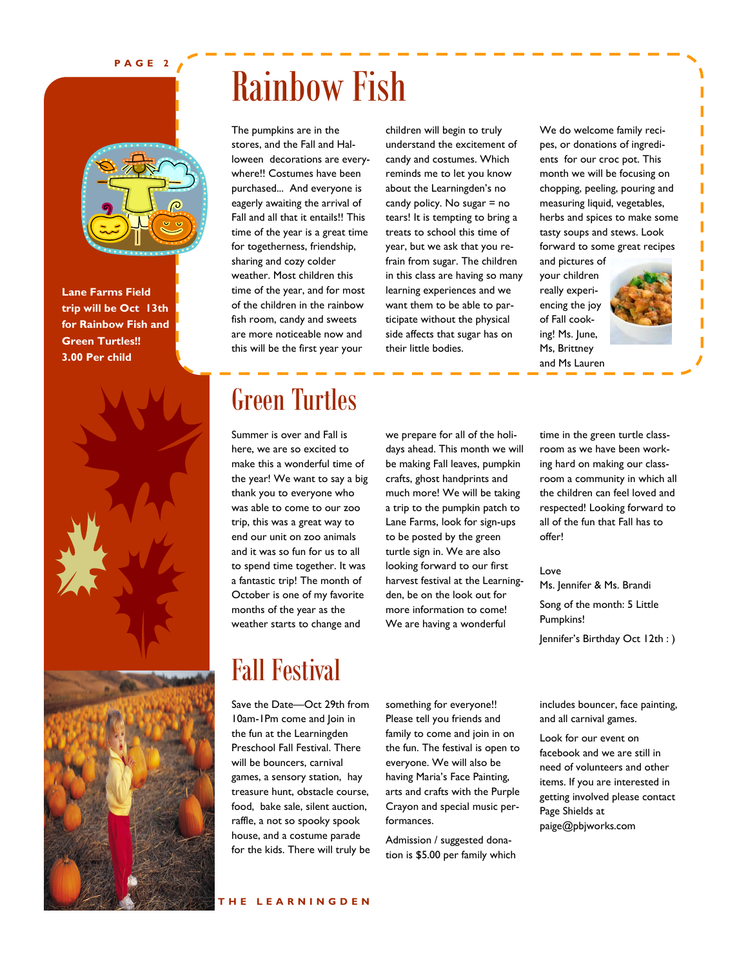#### **PAGE 2**



**Lane Farms Field trip will be Oct 13th for Rainbow Fish and Green Turtles!! 3.00 Per child** 



## Rainbow Fish

The pumpkins are in the stores, and the Fall and Halloween decorations are everywhere!! Costumes have been purchased... And everyone is eagerly awaiting the arrival of Fall and all that it entails!! This time of the year is a great time for togetherness, friendship, sharing and cozy colder weather. Most children this time of the year, and for most of the children in the rainbow fish room, candy and sweets are more noticeable now and this will be the first year your

children will begin to truly understand the excitement of candy and costumes. Which reminds me to let you know about the Learningden's no candy policy. No sugar = no tears! It is tempting to bring a treats to school this time of year, but we ask that you refrain from sugar. The children in this class are having so many learning experiences and we want them to be able to participate without the physical side affects that sugar has on their little bodies.

We do welcome family recipes, or donations of ingredients for our croc pot. This month we will be focusing on chopping, peeling, pouring and measuring liquid, vegetables, herbs and spices to make some tasty soups and stews. Look forward to some great recipes



and Ms Lauren

### Green Turtles

Summer is over and Fall is here, we are so excited to make this a wonderful time of the year! We want to say a big thank you to everyone who was able to come to our zoo trip, this was a great way to end our unit on zoo animals and it was so fun for us to all to spend time together. It was a fantastic trip! The month of October is one of my favorite months of the year as the weather starts to change and

we prepare for all of the holidays ahead. This month we will be making Fall leaves, pumpkin crafts, ghost handprints and much more! We will be taking a trip to the pumpkin patch to Lane Farms, look for sign-ups to be posted by the green turtle sign in. We are also looking forward to our first harvest festival at the Learningden, be on the look out for more information to come! We are having a wonderful

time in the green turtle classroom as we have been working hard on making our classroom a community in which all the children can feel loved and respected! Looking forward to all of the fun that Fall has to offer!

### Love

Ms. Jennifer & Ms. Brandi Song of the month: 5 Little Pumpkins! Jennifer's Birthday Oct 12th : )

### Fall Festival

Save the Date—Oct 29th from 10am-1Pm come and Join in the fun at the Learningden Preschool Fall Festival. There will be bouncers, carnival games, a sensory station, hay treasure hunt, obstacle course, food, bake sale, silent auction, raffle, a not so spooky spook house, and a costume parade for the kids. There will truly be something for everyone!! Please tell you friends and family to come and join in on the fun. The festival is open to everyone. We will also be having Maria's Face Painting, arts and crafts with the Purple Crayon and special music performances.

Admission / suggested donation is \$5.00 per family which includes bouncer, face painting, and all carnival games.

Look for our event on facebook and we are still in need of volunteers and other items. If you are interested in getting involved please contact Page Shields at paige@pbjworks.com

### **THE LEARNINGDEN**